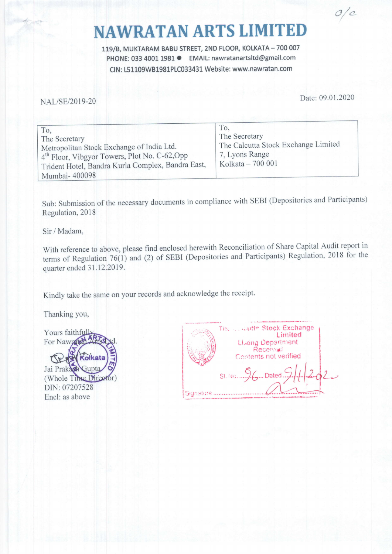## NAWRATAN ARTS LIMITED

119/B, MUKTARAM BABU STREET, 2ND FLOOR, KOLKATA - 700 007 PHONE: 033 4001 1981 · EMAIL: nawratanartsltd@gmail.com CIN: L51109WB1981PLC033431 Website: www.nawratan.com

NAL/SE/2O19-20 Date: 09.01 .2020

o/o

| To,<br>The Secretary<br>Metropolitan Stock Exchange of India Ltd.<br>4 <sup>th</sup> Floor, Vibgyor Towers, Plot No. C-62, Opp<br>Trident Hotel, Bandra Kurla Complex, Bandra East,<br>Mumbai-400098 | To.<br>The Secretary<br>The Calcutta Stock Exchange Limited<br>7, Lyons Range<br>Kolkata - 700 001 |  |
|------------------------------------------------------------------------------------------------------------------------------------------------------------------------------------------------------|----------------------------------------------------------------------------------------------------|--|
|------------------------------------------------------------------------------------------------------------------------------------------------------------------------------------------------------|----------------------------------------------------------------------------------------------------|--|

Sub: Submission of the necessary documents in compliance with SEBI (Depositories and Participants) Regulation, 2018

Sir / Madam,

with reference to above, please find enclosed herewith Reconciliation of Share Capital Audit report in terms of Regulation 76(1) and (2) of SEBI (Depositories and Participants) Regulation, 2018 for the quarter ended 31.12.2019.

Kindly take the same on your records and acknowledge the receipt.

Thanking you,

Yours faithfully For Nawrand Kolkata Jai Prakash Gunta (Whole Time Director) DIN: 07207528 Encl: as above

|           | The country Stock Exchange<br>Limited<br>Listing Department<br>Received<br>Contents not verified |
|-----------|--------------------------------------------------------------------------------------------------|
| Signature | SI. No. 96Dated 9.1.1.1.202                                                                      |